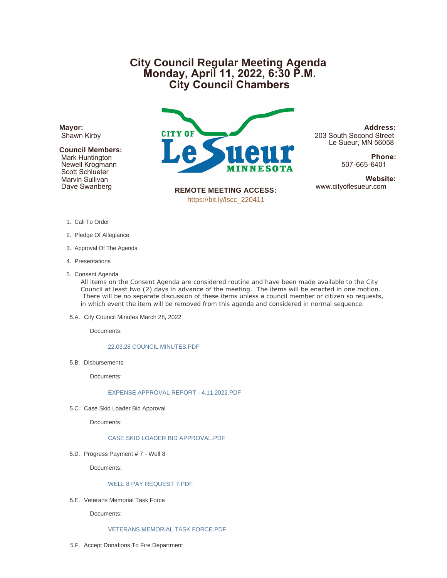# **City Council Regular Meeting Agenda Monday, April 11, 2022, 6:30 P.M. City Council Chambers**

**Mayor:** Shawn Kirby

# **Council Members:**

 Mark Huntington Newell Krogmann Scott Schlueter Marvin Sullivan Dave Swanberg



**Address:** 203 South Second Street Le Sueur, MN 56058

> **Phone:** 507-665-6401

**Website:**<br>www.cityoflesueur.com

**REMOTE MEETING ACCESS:** [https://bit.ly/lscc\\_220411](https://bit.ly/lscc_220411)

- 1. Call To Order
- 2. Pledge Of Allegiance
- 3. Approval Of The Agenda
- 4. Presentations
- 5. Consent Agenda

All items on the Consent Agenda are considered routine and have been made available to the City Council at least two (2) days in advance of the meeting. The items will be enacted in one motion. There will be no separate discussion of these items unless a council member or citizen so requests, in which event the item will be removed from this agenda and considered in normal sequence.

5.A. City Council Minutes March 28, 2022

Documents:

#### [22.03.28 COUNCIL MINUTES.PDF](http://www.cityoflesueur.com/AgendaCenter/ViewFile/Item/2556?fileID=3186)

5.B. Disbursements

Documents:

## [EXPENSE APPROVAL REPORT - 4.11.2022.PDF](http://www.cityoflesueur.com/AgendaCenter/ViewFile/Item/2558?fileID=3180)

5.C. Case Skid Loader Bid Approval

Documents:

# [CASE SKID LOADER BID APPROVAL.PDF](http://www.cityoflesueur.com/AgendaCenter/ViewFile/Item/2557?fileID=3179)

5.D. Progress Payment # 7 - Well 8

Documents:

## [WELL 8 PAY REQUEST 7.PDF](http://www.cityoflesueur.com/AgendaCenter/ViewFile/Item/2559?fileID=3181)

5.E. Veterans Memorial Task Force

Documents:

#### [VETERANS MEMORIAL TASK FORCE.PDF](http://www.cityoflesueur.com/AgendaCenter/ViewFile/Item/2560?fileID=3182)

5.F. Accept Donations To Fire Department